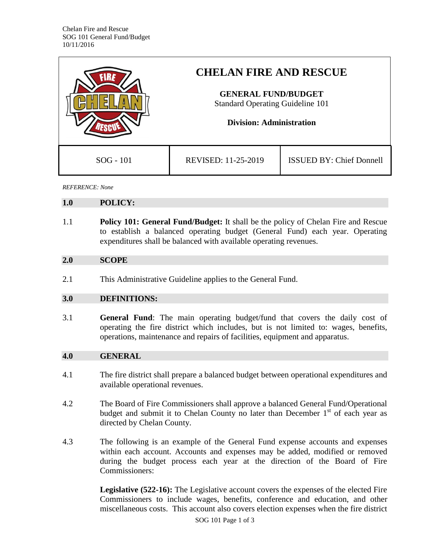|             | <b>CHELAN FIRE AND RESCUE</b><br><b>GENERAL FUND/BUDGET</b><br><b>Standard Operating Guideline 101</b><br><b>Division: Administration</b> |                                 |
|-------------|-------------------------------------------------------------------------------------------------------------------------------------------|---------------------------------|
|             |                                                                                                                                           |                                 |
|             |                                                                                                                                           |                                 |
| $SOG - 101$ | REVISED: 11-25-2019                                                                                                                       | <b>ISSUED BY: Chief Donnell</b> |

*REFERENCE: None*

#### **1.0 POLICY:**

1.1 **Policy 101: General Fund/Budget:** It shall be the policy of Chelan Fire and Rescue to establish a balanced operating budget (General Fund) each year. Operating expenditures shall be balanced with available operating revenues.

### **2.0 SCOPE**

2.1 This Administrative Guideline applies to the General Fund.

### **3.0 DEFINITIONS:**

3.1 **General Fund**: The main operating budget/fund that covers the daily cost of operating the fire district which includes, but is not limited to: wages, benefits, operations, maintenance and repairs of facilities, equipment and apparatus.

## **4.0 GENERAL**

- 4.1 The fire district shall prepare a balanced budget between operational expenditures and available operational revenues.
- 4.2 The Board of Fire Commissioners shall approve a balanced General Fund/Operational budget and submit it to Chelan County no later than December  $1<sup>st</sup>$  of each year as directed by Chelan County.
- 4.3 The following is an example of the General Fund expense accounts and expenses within each account. Accounts and expenses may be added, modified or removed during the budget process each year at the direction of the Board of Fire Commissioners:

**Legislative (522-16):** The Legislative account covers the expenses of the elected Fire Commissioners to include wages, benefits, conference and education, and other miscellaneous costs. This account also covers election expenses when the fire district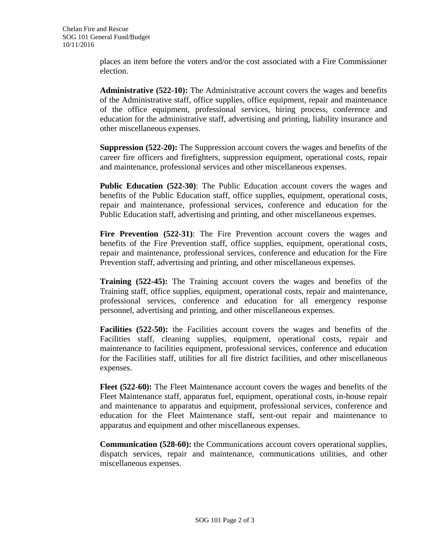places an item before the voters and/or the cost associated with a Fire Commissioner election.

**Administrative (522-10):** The Administrative account covers the wages and benefits of the Administrative staff, office supplies, office equipment, repair and maintenance of the office equipment, professional services, hiring process, conference and education for the administrative staff, advertising and printing, liability insurance and other miscellaneous expenses.

**Suppression (522-20):** The Suppression account covers the wages and benefits of the career fire officers and firefighters, suppression equipment, operational costs, repair and maintenance, professional services and other miscellaneous expenses.

**Public Education (522-30)**: The Public Education account covers the wages and benefits of the Public Education staff, office supplies, equipment, operational costs, repair and maintenance, professional services, conference and education for the Public Education staff, advertising and printing, and other miscellaneous expenses.

**Fire Prevention (522-31)**: The Fire Prevention account covers the wages and benefits of the Fire Prevention staff, office supplies, equipment, operational costs, repair and maintenance, professional services, conference and education for the Fire Prevention staff, advertising and printing, and other miscellaneous expenses.

**Training (522-45):** The Training account covers the wages and benefits of the Training staff, office supplies, equipment, operational costs, repair and maintenance, professional services, conference and education for all emergency response personnel, advertising and printing, and other miscellaneous expenses.

**Facilities (522-50):** the Facilities account covers the wages and benefits of the Facilities staff, cleaning supplies, equipment, operational costs, repair and maintenance to facilities equipment, professional services, conference and education for the Facilities staff, utilities for all fire district facilities, and other miscellaneous expenses.

**Fleet (522-60):** The Fleet Maintenance account covers the wages and benefits of the Fleet Maintenance staff, apparatus fuel, equipment, operational costs, in-house repair and maintenance to apparatus and equipment, professional services, conference and education for the Fleet Maintenance staff, sent-out repair and maintenance to apparatus and equipment and other miscellaneous expenses.

**Communication (528-60):** the Communications account covers operational supplies, dispatch services, repair and maintenance, communications utilities, and other miscellaneous expenses.